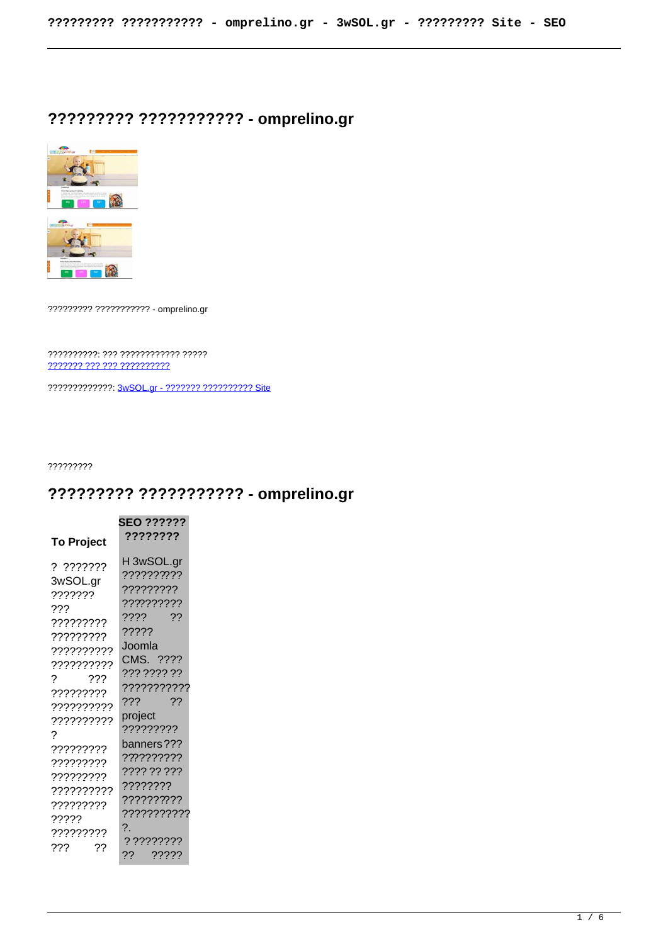## ????????? ??????????? - omprelino.gr



????????? ??????????? - omprelino.gr

## ?????????? ??? ???????????? ????? ??????? ??? ??? ??????????

2222222222222: 3wSOL.ar - 2222222 2222222222 Site

?????????

## ????????? ??????????? - omprelino.gr

|                                                                                                                                                                                                                                                              | <b>SEO ??????</b>                                                                                                                                                                                                                                                                             |
|--------------------------------------------------------------------------------------------------------------------------------------------------------------------------------------------------------------------------------------------------------------|-----------------------------------------------------------------------------------------------------------------------------------------------------------------------------------------------------------------------------------------------------------------------------------------------|
| <b>To Project</b>                                                                                                                                                                                                                                            | ????????                                                                                                                                                                                                                                                                                      |
| ? ???????<br>3wSOL.gr<br>???????<br>777<br>?????????<br>?????????<br>??????????<br>7777777777<br>$?$ $?$ ?<br>?????????<br>??????????<br>7777777777<br>?<br>?????????<br>?????????<br>?????????<br>??????????<br>?????????<br>?????<br>?????????<br>$???$ ?? | H 3wSOL.gr<br>??????????<br>777777777<br>??????????<br>????<br>- 22<br>?????<br>Joomla<br>CMS. ????<br>777 7777 77<br>???????????<br>$??\frac{??}$<br>project<br>?????????<br>banners???<br>771777777<br>???? ?? ???<br>77777777<br>??????????<br>77777777777<br>?.<br>? ????????<br>?? ????? |
|                                                                                                                                                                                                                                                              |                                                                                                                                                                                                                                                                                               |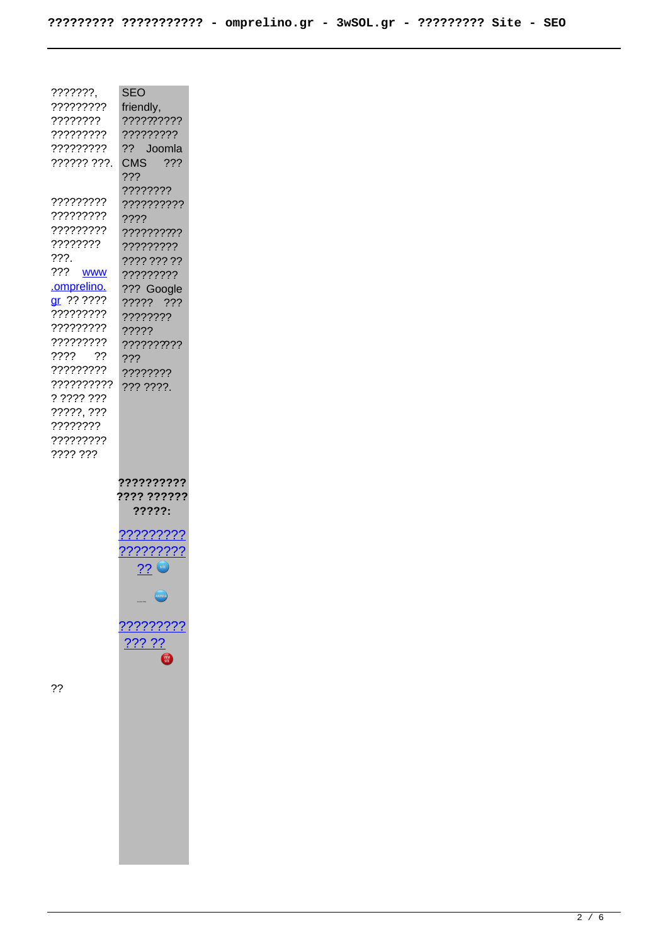| ???????,          | SEO               |
|-------------------|-------------------|
| ?????????         | friendly,         |
| ????????          | ??????????        |
| ?????????         | ?????????         |
| ?????????         | ?? Joomla         |
| ?????? ???.       | CMS ???           |
|                   | ???               |
|                   |                   |
| ?????????         | ????????          |
|                   | ??????????        |
| ?????????         | ????              |
| ?????????         | ??????????        |
| ????????          | ?????????         |
| ???.              | ???? ??? ??       |
| ??? <u>www</u>    | ?????????         |
| .omprelino.       | ??? Google        |
| <u>gr</u> ?? ???? | ????? ???         |
| ?????????         | ????????          |
| ?????????         | ?????             |
| ?????????         | ??????????        |
| ???? ??           | ???               |
| ?????????         |                   |
| ??????????        | ????????          |
|                   | ??? ????.         |
| ? ???? ???        |                   |
| ?????, ???        |                   |
| ????????          |                   |
| ?????????         |                   |
| ???? ???          |                   |
|                   |                   |
|                   | ??????????        |
|                   | ???? ??????       |
|                   | $??\; ??$         |
|                   |                   |
|                   | <u>?????????</u>  |
|                   | <u>?????????</u>  |
|                   |                   |
|                   | <u>??</u> ©       |
|                   |                   |
|                   | ромы              |
|                   |                   |
|                   | <u> ?????????</u> |
|                   | ??? ??            |
|                   |                   |
|                   |                   |
|                   |                   |
| ??                |                   |
|                   |                   |
|                   |                   |
|                   |                   |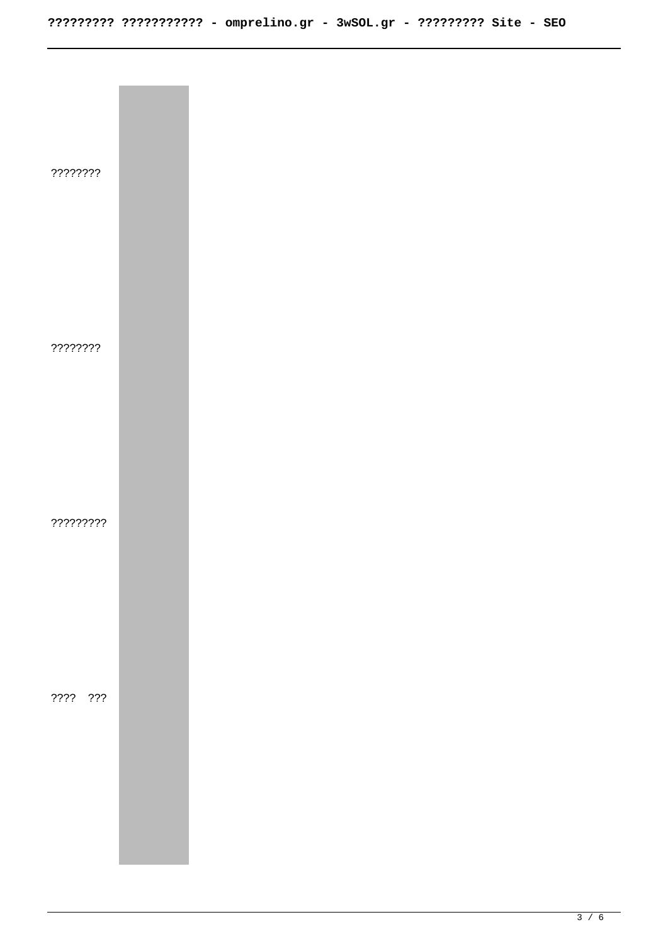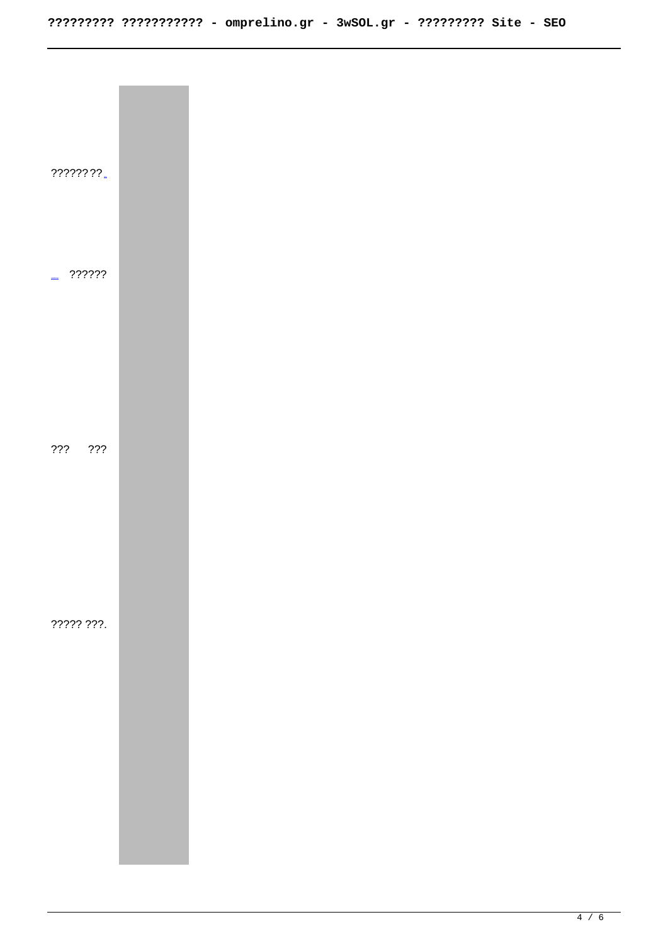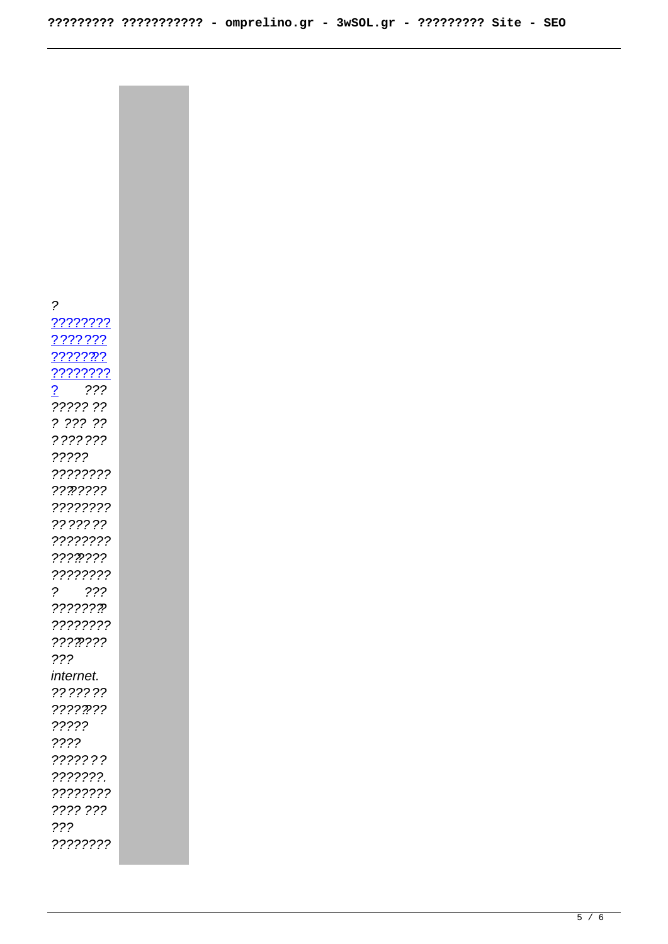$\tilde{?}$ ???????? ???????  $????????$ ????????  $\overline{2}$ ??? ????? ??  $? 222.22$ ??????? ????? ???????? ??????? ???????? ??????? ????????  $???????$ ????????  $? 722$  $???????$ ????????  $????"???$  $222$ internet. ??????? ??????? ????? ???? ??????? ???????. ???????? ???? ???  $???$ ????????